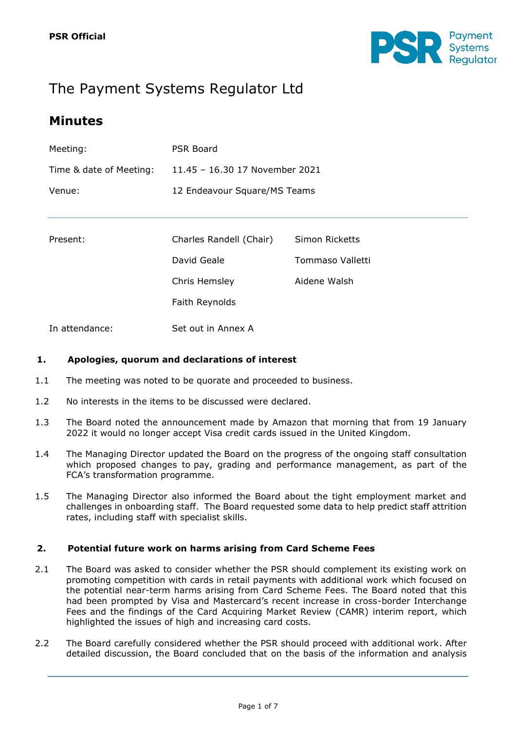

# The Payment Systems Regulator Ltd

## **Minutes**

| Meeting:                | PSR Board                      |
|-------------------------|--------------------------------|
| Time & date of Meeting: | 11.45 - 16.30 17 November 2021 |
| Venue:                  | 12 Endeavour Square/MS Teams   |

| Present: | Charles Randell (Chair) | Simon Ricketts   |
|----------|-------------------------|------------------|
|          | David Geale             | Tommaso Valletti |
|          | Chris Hemsley           | Aidene Walsh     |
|          | Faith Reynolds          |                  |

In attendance: Set out in Annex A

#### **1. Apologies, quorum and declarations of interest**

- 1.1 The meeting was noted to be quorate and proceeded to business.
- 1.2 No interests in the items to be discussed were declared.
- 1.3 The Board noted the announcement made by Amazon that morning that from 19 January 2022 it would no longer accept Visa credit cards issued in the United Kingdom.
- 1.4 The Managing Director updated the Board on the progress of the ongoing staff consultation which proposed changes to pay, grading and performance management, as part of the FCA's transformation programme.
- 1.5 The Managing Director also informed the Board about the tight employment market and challenges in onboarding staff. The Board requested some data to help predict staff attrition rates, including staff with specialist skills.

#### **2. Potential future work on harms arising from Card Scheme Fees**

- 2.1 The Board was asked to consider whether the PSR should complement its existing work on promoting competition with cards in retail payments with additional work which focused on the potential near-term harms arising from Card Scheme Fees. The Board noted that this had been prompted by Visa and Mastercard's recent increase in cross-border Interchange Fees and the findings of the Card Acquiring Market Review (CAMR) interim report, which highlighted the issues of high and increasing card costs.
- 2.2 The Board carefully considered whether the PSR should proceed with additional work. After detailed discussion, the Board concluded that on the basis of the information and analysis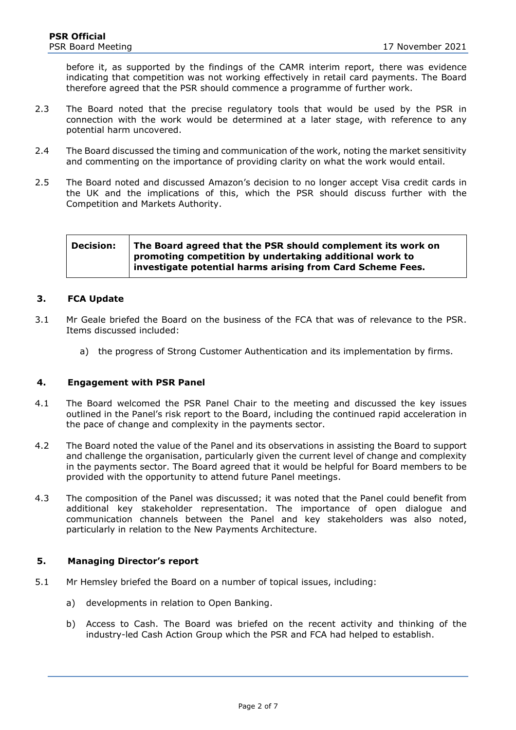before it, as supported by the findings of the CAMR interim report, there was evidence indicating that competition was not working effectively in retail card payments. The Board therefore agreed that the PSR should commence a programme of further work.

- 2.3 The Board noted that the precise regulatory tools that would be used by the PSR in connection with the work would be determined at a later stage, with reference to any potential harm uncovered.
- 2.4 The Board discussed the timing and communication of the work, noting the market sensitivity and commenting on the importance of providing clarity on what the work would entail.
- 2.5 The Board noted and discussed Amazon's decision to no longer accept Visa credit cards in the UK and the implications of this, which the PSR should discuss further with the Competition and Markets Authority.

**Decision: The Board agreed that the PSR should complement its work on promoting competition by undertaking additional work to investigate potential harms arising from Card Scheme Fees.** 

#### **3. FCA Update**

- 3.1 Mr Geale briefed the Board on the business of the FCA that was of relevance to the PSR. Items discussed included:
	- a) the progress of Strong Customer Authentication and its implementation by firms.

#### **4. Engagement with PSR Panel**

- 4.1 The Board welcomed the PSR Panel Chair to the meeting and discussed the key issues outlined in the Panel's risk report to the Board, including the continued rapid acceleration in the pace of change and complexity in the payments sector.
- 4.2 The Board noted the value of the Panel and its observations in assisting the Board to support and challenge the organisation, particularly given the current level of change and complexity in the payments sector. The Board agreed that it would be helpful for Board members to be provided with the opportunity to attend future Panel meetings.
- 4.3 The composition of the Panel was discussed; it was noted that the Panel could benefit from additional key stakeholder representation. The importance of open dialogue and communication channels between the Panel and key stakeholders was also noted, particularly in relation to the New Payments Architecture.

#### **5. Managing Director's report**

- 5.1 Mr Hemsley briefed the Board on a number of topical issues, including:
	- a) developments in relation to Open Banking.
	- b) Access to Cash. The Board was briefed on the recent activity and thinking of the industry-led Cash Action Group which the PSR and FCA had helped to establish.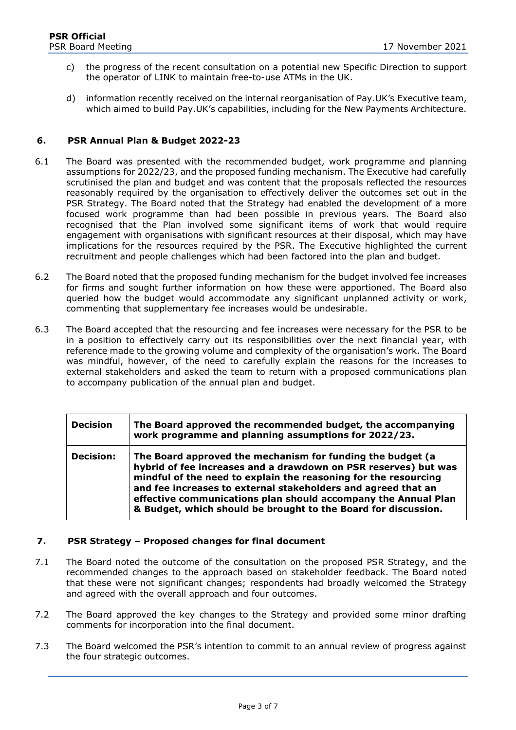- c) the progress of the recent consultation on a potential new Specific Direction to support the operator of LINK to maintain free-to-use ATMs in the UK.
- d) information recently received on the internal reorganisation of Pay.UK's Executive team, which aimed to build Pay.UK's capabilities, including for the New Payments Architecture.

#### **6. PSR Annual Plan & Budget 2022-23**

- 6.1 The Board was presented with the recommended budget, work programme and planning assumptions for 2022/23, and the proposed funding mechanism. The Executive had carefully scrutinised the plan and budget and was content that the proposals reflected the resources reasonably required by the organisation to effectively deliver the outcomes set out in the PSR Strategy. The Board noted that the Strategy had enabled the development of a more focused work programme than had been possible in previous years. The Board also recognised that the Plan involved some significant items of work that would require engagement with organisations with significant resources at their disposal, which may have implications for the resources required by the PSR. The Executive highlighted the current recruitment and people challenges which had been factored into the plan and budget.
- 6.2 The Board noted that the proposed funding mechanism for the budget involved fee increases for firms and sought further information on how these were apportioned. The Board also queried how the budget would accommodate any significant unplanned activity or work, commenting that supplementary fee increases would be undesirable.
- 6.3 The Board accepted that the resourcing and fee increases were necessary for the PSR to be in a position to effectively carry out its responsibilities over the next financial year, with reference made to the growing volume and complexity of the organisation's work. The Board was mindful, however, of the need to carefully explain the reasons for the increases to external stakeholders and asked the team to return with a proposed communications plan to accompany publication of the annual plan and budget.

| <b>Decision</b>  | The Board approved the recommended budget, the accompanying<br>work programme and planning assumptions for 2022/23.                                                                                                                                                                                                                                                                                   |
|------------------|-------------------------------------------------------------------------------------------------------------------------------------------------------------------------------------------------------------------------------------------------------------------------------------------------------------------------------------------------------------------------------------------------------|
| <b>Decision:</b> | The Board approved the mechanism for funding the budget (a<br>hybrid of fee increases and a drawdown on PSR reserves) but was<br>mindful of the need to explain the reasoning for the resourcing<br>and fee increases to external stakeholders and agreed that an<br>effective communications plan should accompany the Annual Plan<br>& Budget, which should be brought to the Board for discussion. |

#### **7. PSR Strategy – Proposed changes for final document**

- 7.1 The Board noted the outcome of the consultation on the proposed PSR Strategy, and the recommended changes to the approach based on stakeholder feedback. The Board noted that these were not significant changes; respondents had broadly welcomed the Strategy and agreed with the overall approach and four outcomes.
- 7.2 The Board approved the key changes to the Strategy and provided some minor drafting comments for incorporation into the final document.
- 7.3 The Board welcomed the PSR's intention to commit to an annual review of progress against the four strategic outcomes.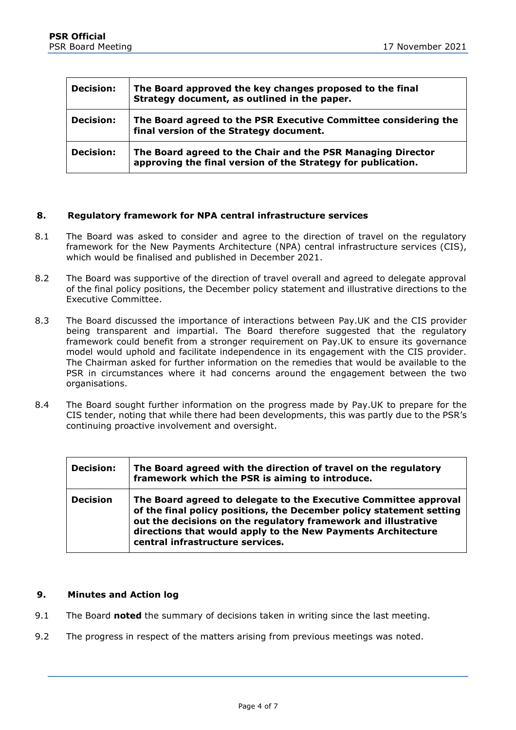| <b>Decision:</b> | The Board approved the key changes proposed to the final<br>Strategy document, as outlined in the paper.                    |
|------------------|-----------------------------------------------------------------------------------------------------------------------------|
| <b>Decision:</b> | The Board agreed to the PSR Executive Committee considering the<br>final version of the Strategy document.                  |
| <b>Decision:</b> | The Board agreed to the Chair and the PSR Managing Director<br>approving the final version of the Strategy for publication. |

#### **8. Regulatory framework for NPA central infrastructure services**

- 8.1 The Board was asked to consider and agree to the direction of travel on the regulatory framework for the New Payments Architecture (NPA) central infrastructure services (CIS), which would be finalised and published in December 2021.
- 8.2 The Board was supportive of the direction of travel overall and agreed to delegate approval of the final policy positions, the December policy statement and illustrative directions to the Executive Committee.
- 8.3 The Board discussed the importance of interactions between Pay.UK and the CIS provider being transparent and impartial. The Board therefore suggested that the regulatory framework could benefit from a stronger requirement on Pay.UK to ensure its governance model would uphold and facilitate independence in its engagement with the CIS provider. The Chairman asked for further information on the remedies that would be available to the PSR in circumstances where it had concerns around the engagement between the two organisations.
- 8.4 The Board sought further information on the progress made by Pay.UK to prepare for the CIS tender, noting that while there had been developments, this was partly due to the PSR's continuing proactive involvement and oversight.

| <b>Decision:</b> | The Board agreed with the direction of travel on the regulatory<br>framework which the PSR is aiming to introduce.                                                                                                                                                                                             |
|------------------|----------------------------------------------------------------------------------------------------------------------------------------------------------------------------------------------------------------------------------------------------------------------------------------------------------------|
| <b>Decision</b>  | The Board agreed to delegate to the Executive Committee approval<br>of the final policy positions, the December policy statement setting<br>out the decisions on the regulatory framework and illustrative<br>directions that would apply to the New Payments Architecture<br>central infrastructure services. |

#### **9. Minutes and Action log**

- 9.1 The Board **noted** the summary of decisions taken in writing since the last meeting.
- 9.2 The progress in respect of the matters arising from previous meetings was noted.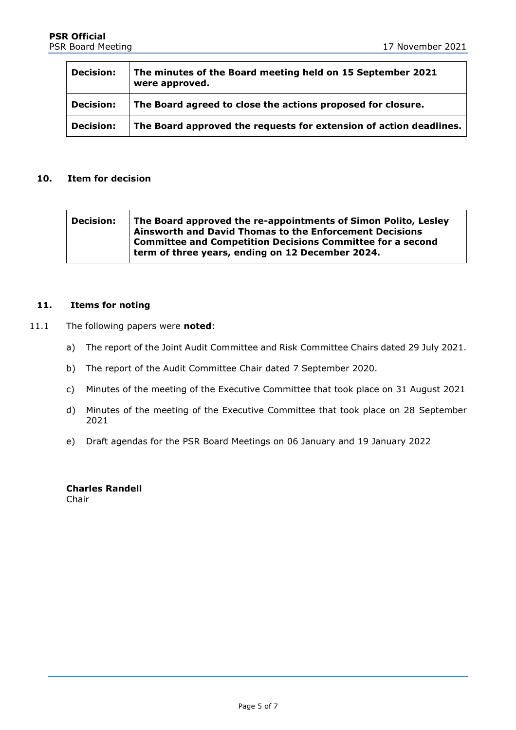| <b>Decision:</b> | The minutes of the Board meeting held on 15 September 2021<br>were approved. |  |
|------------------|------------------------------------------------------------------------------|--|
| <b>Decision:</b> | The Board agreed to close the actions proposed for closure.                  |  |
| <b>Decision:</b> | The Board approved the requests for extension of action deadlines.           |  |

#### **10. Item for decision**

| <b>Decision:</b> | The Board approved the re-appointments of Simon Polito, Lesley<br>Ainsworth and David Thomas to the Enforcement Decisions<br><b>Committee and Competition Decisions Committee for a second</b> |
|------------------|------------------------------------------------------------------------------------------------------------------------------------------------------------------------------------------------|
|                  | term of three years, ending on 12 December 2024.                                                                                                                                               |

#### **11. Items for noting**

- 11.1 The following papers were **noted**:
	- a) The report of the Joint Audit Committee and Risk Committee Chairs dated 29 July 2021.
	- b) The report of the Audit Committee Chair dated 7 September 2020.
	- c) Minutes of the meeting of the Executive Committee that took place on 31 August 2021
	- d) Minutes of the meeting of the Executive Committee that took place on 28 September 2021
	- e) Draft agendas for the PSR Board Meetings on 06 January and 19 January 2022

**Charles Randell** Chair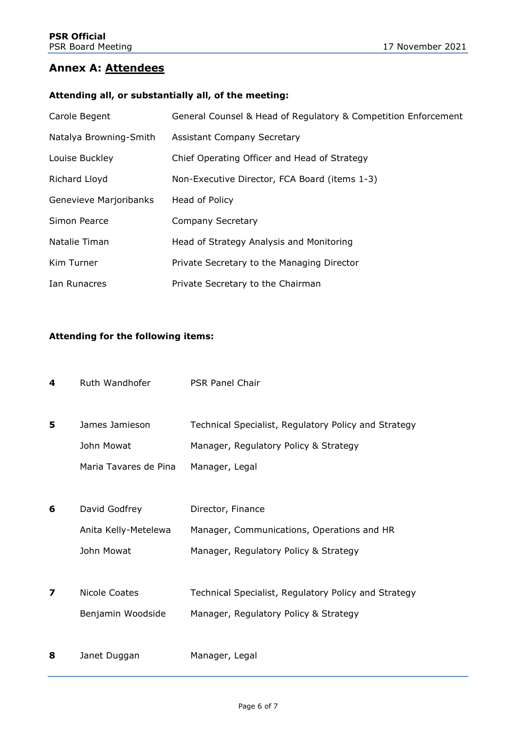### **Annex A: Attendees**

#### **Attending all, or substantially all, of the meeting:**

| Carole Begent          | General Counsel & Head of Regulatory & Competition Enforcement |
|------------------------|----------------------------------------------------------------|
| Natalya Browning-Smith | <b>Assistant Company Secretary</b>                             |
| Louise Buckley         | Chief Operating Officer and Head of Strategy                   |
| Richard Lloyd          | Non-Executive Director, FCA Board (items 1-3)                  |
| Genevieve Marjoribanks | Head of Policy                                                 |
| Simon Pearce           | Company Secretary                                              |
| Natalie Timan          | Head of Strategy Analysis and Monitoring                       |
| Kim Turner             | Private Secretary to the Managing Director                     |
| Ian Runacres           | Private Secretary to the Chairman                              |

#### **Attending for the following items:**

| 4 | Ruth Wandhofer        | <b>PSR Panel Chair</b>                               |
|---|-----------------------|------------------------------------------------------|
|   |                       |                                                      |
| 5 | James Jamieson        | Technical Specialist, Regulatory Policy and Strategy |
|   | John Mowat            | Manager, Regulatory Policy & Strategy                |
|   | Maria Tavares de Pina | Manager, Legal                                       |
|   |                       |                                                      |
| 6 | David Godfrey         | Director, Finance                                    |
|   | Anita Kelly-Metelewa  | Manager, Communications, Operations and HR           |
|   | John Mowat            | Manager, Regulatory Policy & Strategy                |
|   |                       |                                                      |
| 7 | Nicole Coates         | Technical Specialist, Regulatory Policy and Strategy |
|   | Benjamin Woodside     | Manager, Regulatory Policy & Strategy                |
|   |                       |                                                      |
| 8 | Janet Duggan          | Manager, Legal                                       |